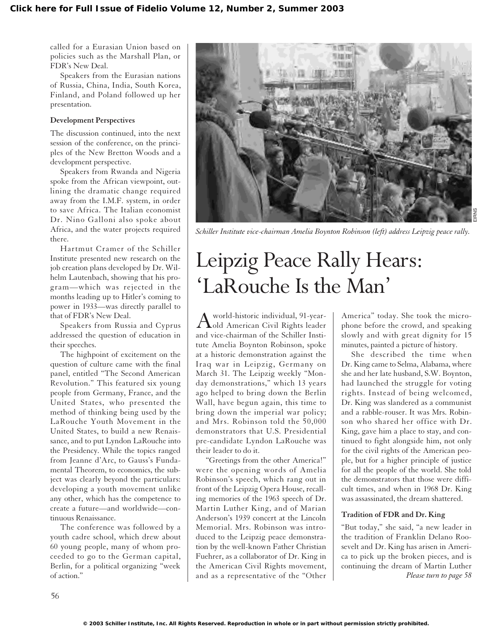called for a Eurasian Union based on policies such as the Marshall Plan, or FDR's New Deal.

Speakers from the Eurasian nations of Russia, China, India, South Korea, Finland, and Poland followed up her presentation.

#### **Development Perspectives**

The discussion continued, into the next session of the conference, on the principles of the New Bretton Woods and a development perspective.

Speakers from Rwanda and Nigeria spoke from the African viewpoint, outlining the dramatic change required away from the I.M.F. system, in order to save Africa. The Italian economist Dr. Nino Galloni also spoke about Africa, and the water projects required there.

Hartmut Cramer of the Schiller Institute presented new research on the job creation plans developed by Dr. Wilhelm Lautenbach, showing that his program—which was rejected in the months leading up to Hitler's coming to power in 1933—was directly parallel to that of FDR's New Deal.

Speakers from Russia and Cyprus addressed the question of education in their speeches.

The highpoint of excitement on the question of culture came with the final panel, entitled "The Second American Revolution." This featured six young people from Germany, France, and the United States, who presented the method of thinking being used by the LaRouche Youth Movement in the United States, to build a new Renaissance, and to put Lyndon LaRouche into the Presidency. While the topics ranged from Jeanne d'Arc, to Gauss's Fundamental Theorem, to economics, the subject was clearly beyond the particulars: developing a youth movement unlike any other, which has the competence to create a future—and worldwide—continuous Renaissance.

The conference was followed by a youth cadre school, which drew about 60 young people, many of whom proceeded to go to the German capital, Berlin, for a political organizing "week of action."



*Schiller Institute vice-chairman Amelia Boynton Robinson (left) address Leipzig peace rally.*

# Leipzig Peace Rally Hears: 'LaRouche Is the Man'

Aworld-historic individual, 91-year-old American Civil Rights leader and vice-chairman of the Schiller Institute Amelia Boynton Robinson, spoke at a historic demonstration against the Iraq war in Leipzig, Germany on March 31. The Leipzig weekly "Monday demonstrations," which 13 years ago helped to bring down the Berlin Wall, have begun again, this time to bring down the imperial war policy; and Mrs. Robinson told the 50,000 demonstrators that U.S. Presidential pre-candidate Lyndon LaRouche was their leader to do it.

"Greetings from the other America!" were the opening words of Amelia Robinson's speech, which rang out in front of the Leipzig Opera House, recalling memories of the 1963 speech of Dr. Martin Luther King, and of Marian Anderson's 1939 concert at the Lincoln Memorial. Mrs. Robinson was introduced to the Leipzig peace demonstration by the well-known Father Christian Fuehrer, as a collaborator of Dr. King in the American Civil Rights movement, and as a representative of the "Other

America" today. She took the microphone before the crowd, and speaking slowly and with great dignity for 15 minutes, painted a picture of history.

She described the time when Dr. King came to Selma, Alabama, where she and her late husband, S.W. Boynton, had launched the struggle for voting rights. Instead of being welcomed, Dr. King was slandered as a communist and a rabble-rouser. It was Mrs. Robinson who shared her office with Dr. King, gave him a place to stay, and continued to fight alongside him, not only for the civil rights of the American people, but for a higher principle of justice for all the people of the world. She told the demonstrators that those were difficult times, and when in 1968 Dr. King was assassinated, the dream shattered.

### **Tradition of FDR and Dr. King**

"But today," she said, "a new leader in the tradition of Franklin Delano Roosevelt and Dr. King has arisen in America to pick up the broken pieces, and is continuing the dream of Martin Luther *Please turn to page 58*